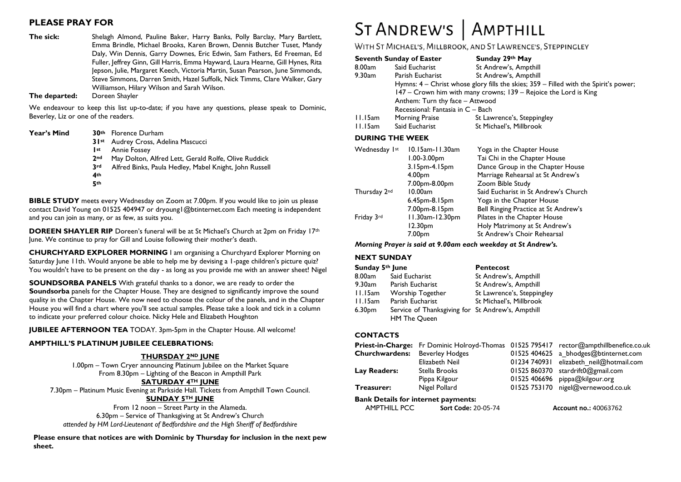# **PLEASE PRAY FOR**

**The sick:** Shelagh Almond, Pauline Baker, Harry Banks, Polly Barclay, Mary Bartlett, Emma Brindle, Michael Brooks, Karen Brown, Dennis Butcher Tuset, Mandy Daly, Win Dennis, Garry Downes, Eric Edwin, Sam Fathers, Ed Freeman, Ed Fuller, Jeffrey Ginn, Gill Harris, Emma Hayward, Laura Hearne, Gill Hynes, Rita Jepson, Julie, Margaret Keech, Victoria Martin, Susan Pearson, June Simmonds, Steve Simmons, Darren Smith, Hazel Suffolk, Nick Timms, Clare Walker, Gary Williamson, Hilary Wilson and Sarah Wilson.

**The departed:** 

We endeavour to keep this list up-to-date; if you have any questions, please speak to Dominic, Beverley, Liz or one of the readers.

| <b>Year's Mind</b> |                 | 30 <sup>th</sup> Florence Durham                       |
|--------------------|-----------------|--------------------------------------------------------|
|                    |                 | 31 <sup>st</sup> Audrey Cross, Adelina Mascucci        |
|                    | st              | <b>Annie Fossey</b>                                    |
|                    | 2 <sub>nd</sub> | May Dolton, Alfred Lett, Gerald Rolfe, Olive Ruddick   |
|                    | 3 <sup>rd</sup> | Alfred Binks, Paula Hedley, Mabel Knight, John Russell |
|                    | 4th             |                                                        |
|                    | 5th             |                                                        |

**BIBLE STUDY** meets every Wednesday on Zoom at 7.00pm. If you would like to join us please contact David Young on 01525 404947 or dryoung1@btinternet.com Each meeting is independent and you can join as many, or as few, as suits you.

**DOREEN SHAYLER RIP** Doreen's funeral will be at St Michael's Church at 2pm on Friday 17<sup>th</sup> June. We continue to pray for Gill and Louise following their mother's death.

**CHURCHYARD EXPLORER MORNING** I am organising a Churchyard Explorer Morning on Saturday June 11th. Would anyone be able to help me by devising a 1-page children's picture quiz? You wouldn't have to be present on the day - as long as you provide me with an answer sheet! Nigel

**SOUNDSORBA PANELS** With grateful thanks to a donor, we are ready to order the **Soundsorba** panels for the Chapter House. They are designed to significantly improve the sound quality in the Chapter House. We now need to choose the colour of the panels, and in the Chapter House you will find a chart where you'll see actual samples. Please take a look and tick in a column to indicate your preferred colour choice. Nicky Hele and Elizabeth Houghton

**JUBILEE AFTERNOON TEA** TODAY. 3pm-5pm in the Chapter House. All welcome!

#### **AMPTHILL'S PLATINUM JUBILEE CELEBRATIONS:**

#### **THURSDAY 2ND JUNE**

1.00pm – Town Cryer announcing Platinum Jubilee on the Market Square From 8.30pm – Lighting of the Beacon in Ampthill Park **SATURDAY 4TH JUNE**

7.30pm – Platinum Music Evening at Parkside Hall. Tickets from Ampthill Town Council. **SUNDAY 5TH JUNE**

From 12 noon – Street Party in the Alameda. 6.30pm – Service of Thanksgiving at St Andrew's Church *attended by HM Lord-Lieutenant of Bedfordshire and the High Sheriff of Bedfordshire*

**Please ensure that notices are with Dominic by Thursday for inclusion in the next pew sheet.**

# ST ANDREW'S | AMPTHILL

# WITH ST MICHAEL'S, MILLBROOK, AND ST LAWRENCE'S, STEPPINGLEY

|         | <b>Seventh Sunday of Easter</b>   | Sunday 29th May                                                                      |  |  |
|---------|-----------------------------------|--------------------------------------------------------------------------------------|--|--|
| 8.00am  | Said Eucharist                    | St Andrew's, Ampthill                                                                |  |  |
| 9.30am  | Parish Eucharist                  | St Andrew's, Ampthill                                                                |  |  |
|         |                                   | Hymns: 4 - Christ whose glory fills the skies; 359 - Filled with the Spirit's power; |  |  |
|         |                                   | 147 - Crown him with many crowns; 139 - Rejoice the Lord is King                     |  |  |
|         | Anthem: Turn thy face - Attwood   |                                                                                      |  |  |
|         | Recessional: Fantasia in C - Bach |                                                                                      |  |  |
| 11.15am | Morning Praise                    | St Lawrence's, Steppingley                                                           |  |  |
| 11.15am | Said Eucharist                    | St Michael's, Millbrook                                                              |  |  |
|         |                                   |                                                                                      |  |  |

#### **DURING THE WEEK**

| Wednesday 1st | 10.15am-11.30am<br>$1.00 - 3.00$ pm | Yoga in the Chapter House<br>Tai Chi in the Chapter House |  |
|---------------|-------------------------------------|-----------------------------------------------------------|--|
|               | 3.15pm-4.15pm                       | Dance Group in the Chapter House                          |  |
|               | 4.00 <sub>pm</sub>                  | Marriage Rehearsal at St Andrew's                         |  |
|               | 7.00pm-8.00pm                       | Zoom Bible Study                                          |  |
| Thursday 2nd  | 10.00am                             | Said Eucharist in St Andrew's Church                      |  |
|               | 6.45pm-8.15pm                       | Yoga in the Chapter House                                 |  |
|               | 7.00pm-8.15pm                       | Bell Ringing Practice at St Andrew's                      |  |
| Friday 3rd    | 11.30am-12.30pm                     | Pilates in the Chapter House                              |  |
|               | 12.30pm                             | Holy Matrimony at St Andrew's                             |  |
|               | 7.00 <sub>pm</sub>                  | St Andrew's Choir Rehearsal                               |  |

#### *Morning Prayer is said at 9.00am each weekday at St Andrew's.*

#### **NEXT SUNDAY**

| Sunday 5th June    |                                                                          | <b>Pentecost</b>           |  |
|--------------------|--------------------------------------------------------------------------|----------------------------|--|
| 8.00am             | Said Eucharist                                                           | St Andrew's, Ampthill      |  |
| 9.30am             | Parish Eucharist                                                         | St Andrew's, Ampthill      |  |
| 11.15am            | <b>Worship Together</b>                                                  | St Lawrence's, Steppingley |  |
| 11.15am            | Parish Eucharist                                                         | St Michael's, Millbrook    |  |
| 6.30 <sub>pm</sub> | Service of Thanksgiving for St Andrew's, Ampthill<br><b>HM The Queen</b> |                            |  |

#### **CONTACTS**

|                       |                        | Priest-in-Charge: Fr Dominic Holroyd-Thomas 01525 795417 rector@ampthillbenefice.co.uk |
|-----------------------|------------------------|----------------------------------------------------------------------------------------|
| <b>Churchwardens:</b> | <b>Beverley Hodges</b> | 01525 404625 a bhodges@btinternet.com                                                  |
|                       | Elizabeth Neil         | 01234 740931 elizabeth neil@hotmail.com                                                |
| Lay Readers:          | Stella Brooks          | $01525860370$ stardrift $0@g$ mail.com                                                 |
|                       | Pippa Kilgour          | 01525 406696 pippa@kilgour.org                                                         |
| Treasurer:            | Nigel Pollard          | 01525 753170 nigel@vernewood.co.uk                                                     |

# **Bank Details for internet payments:**<br>AMPTHILL PCC Sort Code: 2

**Sort Code:** 20-05-74 **Account no.:** 40063762